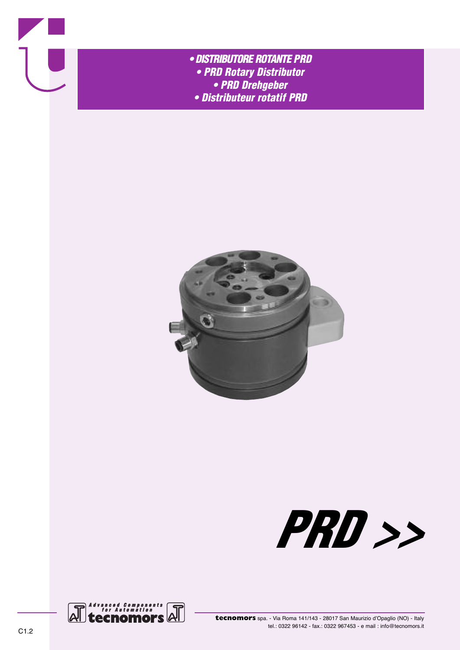

- *• DISTRIBUTORE ROTANTE PRD • PRD Rotary Distributor • PRD Drehgeber*
	- *• Distributeur rotatif PRD*





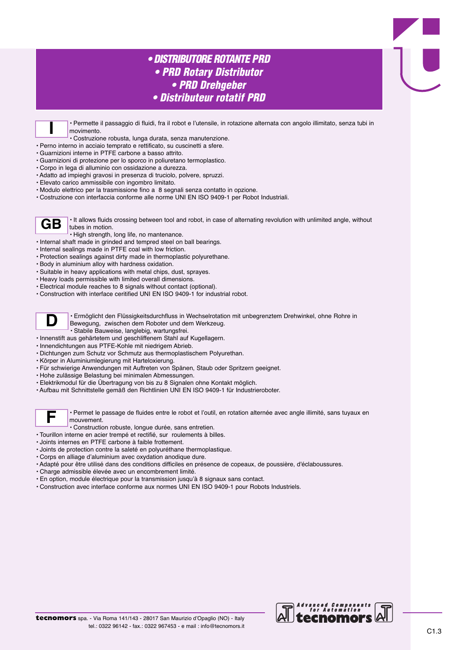## *• DISTRIBUTORE ROTANTE PRD • PRD Rotary Distributor • PRD Drehgeber • Distributeur rotatif PRD*

• Permette il passaggio di fluidi, fra il robot e l'utensile, in rotazione alternata con angolo illimitato, senza tubi in movimento.

• Costruzione robusta, lunga durata, senza manutenzione. **I**

- Perno interno in acciaio temprato e rettificato, su cuscinetti a sfere.
- Guarnizioni interne in PTFE carbone a basso attrito.
- Guarnizioni di protezione per lo sporco in poliuretano termoplastico.
- Corpo in lega di alluminio con ossidazione a durezza.
- Adatto ad impieghi gravosi in presenza di truciolo, polvere, spruzzi.
- Elevato carico ammissibile con ingombro limitato.
- Modulo elettrico per la trasmissione fino a 8 segnali senza contatto in opzione.
- Costruzione con interfaccia conforme alle norme UNI EN ISO 9409-1 per Robot Industriali.

• It allows fluids crossing between tool and robot, in case of alternating revolution with unlimited angle, without tubes in motion. **GB**

- High strength, long life, no mantenance.
- Internal shaft made in grinded and tempred steel on ball bearings.
- Internal sealings made in PTFE coal with low friction.
- Protection sealings against dirty made in thermoplastic polyurethane.
- Body in aluminium alloy with hardness oxidation.
- Suitable in heavy applications with metal chips, dust, sprayes.
- Heavy loads permissible with limited overall dimensions.
- Electrical module reaches to 8 signals without contact (optional).
- Construction with interface ceritified UNI EN ISO 9409-1 for industrial robot.



• Ermöglicht den Flüssigkeitsdurchfluss in Wechselrotation mit unbegrenztem Drehwinkel, ohne Rohre in Bewegung, zwischen dem Roboter und dem Werkzeug. • Stabile Bauweise, langlebig, wartungsfrei.

- Innenstift aus gehärtetem und geschliffenem Stahl auf Kugellagern.
- Innendichtungen aus PTFE-Kohle mit niedrigem Abrieb.
- Dichtungen zum Schutz vor Schmutz aus thermoplastischem Polyurethan.
- Körper in Aluminiumlegierung mit Harteloxierung.
- Für schwierige Anwendungen mit Auftreten von Spänen, Staub oder Spritzern geeignet.
- Hohe zulässige Belastung bei minimalen Abmessungen.
- Elektrikmodul für die Übertragung von bis zu 8 Signalen ohne Kontakt möglich.
- Aufbau mit Schnittstelle gemäß den Richtlinien UNI EN ISO 9409-1 für Industrieroboter.



• Permet le passage de fluides entre le robot et l'outil, en rotation alternée avec angle illimité, sans tuyaux en mouvement.

- Construction robuste, longue durée, sans entretien.
- Tourillon interne en acier trempé et rectifié, sur roulements à billes.
- Joints internes en PTFE carbone à faible frottement.
- Joints de protection contre la saleté en polyuréthane thermoplastique.
- Corps en alliage d'aluminium avec oxydation anodique dure.
- Adapté pour être utilisé dans des conditions difficiles en présence de copeaux, de poussière, d'éclaboussures.
- Charge admissible élevée avec un encombrement limité.
- En option, module électrique pour la transmission jusqu'à 8 signaux sans contact.
- Construction avec interface conforme aux normes UNI EN ISO 9409-1 pour Robots Industriels.

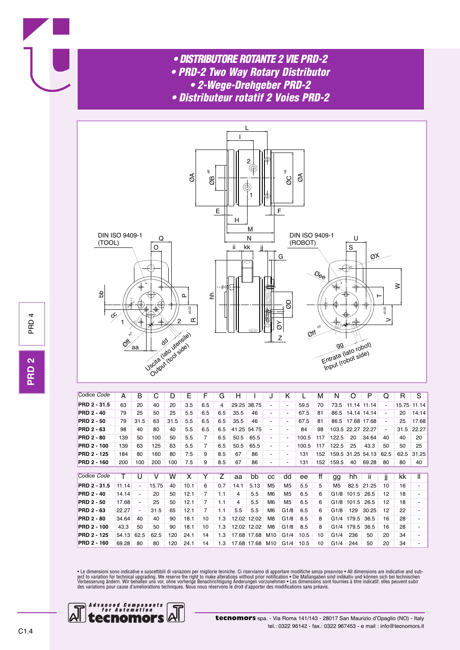- *• DISTRIBUTORE ROTANTE 2 VIE PRD-2*
- *• PRD-2 Two Way Rotary Distributor*
	- *• 2-Wege-Drehgeber PRD-2*
- *• Distributeur rotatif 2 Voies PRD-2*



| Codice Code         | А     | в                        | С     | D    | Е    | F   | G   | н     |             | J                        | Κ                        |       | М   | N              | Ω         | P     | Q                        | R     | S     |
|---------------------|-------|--------------------------|-------|------|------|-----|-----|-------|-------------|--------------------------|--------------------------|-------|-----|----------------|-----------|-------|--------------------------|-------|-------|
| <b>PRD 2 - 31.5</b> | 63    | 20                       | 40    | 20   | 3.5  | 6.5 | 4   |       | 29.25 38.75 | ٠                        |                          | 59.5  | 70  | 73.5           | 11.14     | 11.14 | $\overline{\phantom{a}}$ | 15.75 | 11.14 |
| <b>PRD 2 - 40</b>   | 79    | 25                       | 50    | 25   | 5.5  | 6.5 | 6.5 | 35.5  | 46          | ٠                        | ٠                        | 67.5  | 81  | 86.5           | 14.14     | 14.14 | $\overline{\phantom{a}}$ | 20    | 14.14 |
| <b>PRD 2 - 50</b>   | 79    | 31.5                     | 63    | 31.5 | 5.5  | 6.5 | 6.5 | 35.5  | 46          | -                        | $\overline{\phantom{a}}$ | 67.5  | 81  | 86.5           | 17.68     | 17.68 | $\blacksquare$           | 25    | 17.68 |
| <b>PRD 2 - 63</b>   | 98    | 40                       | 80    | 40   | 5.5  | 6.5 | 6.5 | 41.25 | 54.75       | $\blacksquare$           | ۰                        | 84    | 98  | 103.5          | 22.27     | 22.27 | $\overline{\phantom{a}}$ | 31.5  | 22.27 |
| <b>PRD 2 - 80</b>   | 139   | 50                       | 100   | 50   | 5.5  |     | 6.5 | 50.5  | 65.5        | $\overline{\phantom{a}}$ |                          | 100.5 | 117 | 122.5          | 20        | 34.64 | 40                       | 40    | 20    |
| <b>PRD 2 - 100</b>  | 139   | 63                       | 125   | 63   | 5.5  | 7   | 6.5 | 50.5  | 65.5        | ٠                        |                          | 100.5 | 117 | 122.5          | 25        | 43.3  | 50                       | 50    | 25    |
| <b>PRD 2 - 125</b>  | 184   | 80                       | 160   | 80   | 7.5  | 9   | 8.5 | 67    | 86          | ٠                        |                          | 131   | 152 | 159.5          | 31<br>.25 | 54.13 | 62.5                     | 62.5  | 31.25 |
| <b>PRD 2 - 160</b>  | 200   | 100                      | 200   | 100  | 7.5  | 9   | 8.5 | 67    | 86          |                          |                          | 131   | 152 | 159.5          | 40        | 69.28 | 80                       | 80    | 40    |
|                     |       |                          |       |      |      |     |     |       |             |                          |                          |       |     |                |           |       |                          |       |       |
| Codice Code         | т     | U                        | v     | W    | х    |     | z   | aa    | bb          | CC                       | dd                       | ee    | ff  | gg             | hh        | Ш     | jj                       | kk    | Ш     |
| <b>PRD 2 - 31.5</b> | 11.14 | $\overline{\phantom{a}}$ | 15.75 | 40   | 10.1 | 6   | 0.7 | 14.1  | 5.13        | M <sub>5</sub>           | M <sub>5</sub>           | 5.5   | 5   | M <sub>5</sub> | 82.5      | 21.25 | 10                       | 16    |       |
| <b>PRD 2 - 40</b>   | 14.14 |                          | 20    | 50   | 12.1 | 7   | 1.1 | 4     | 5.5         | M <sub>6</sub>           | M <sub>5</sub>           | 6.5   | 6   | G1/8           | 101.5     | 26.5  | 12                       | 18    |       |
| <b>PRD 2 - 50</b>   | 17.68 |                          | 25    | 50   | 12.1 |     | 1.1 | 4     | 5.5         | M <sub>6</sub>           | M <sub>5</sub>           | 6.5   | 6   | G1/8           | 101.5     | 26.5  | 12                       | 18    |       |
| <b>PRD 2 - 63</b>   | 22.27 | $\blacksquare$           | 31.5  | 65   | 12.1 | 7   | 1.1 | 5.5   | 5.5         | M <sub>6</sub>           | G1/8                     | 6.5   | 6   | G1/8           | 129       | 30.25 | 12                       | 22    |       |
| <b>PRD 2 - 80</b>   | 34.64 | 40                       | 40    | 90   | 18.1 | 10  | 1.3 | 12.02 | 12.02       | M8                       | G1/8                     | 8.5   | 8   | G1/4           | 179.5     | 36.5  | 16                       | 28    |       |
| <b>PRD 2 - 100</b>  | 43.3  | 50                       | 50    | 90   | 18.1 | 10  | 1.3 | 12.02 | 12.02       | M <sub>8</sub>           | G1/8                     | 8.5   | 8   | G1/4           | 179.5     | 36.5  | 16                       | 28    |       |
| <b>PRD 2 - 125</b>  | 54.13 | 62.5                     | 62.5  | 120  | 24.1 | 14  | 1.3 | 17.68 | 17.68       | M <sub>10</sub>          | G1/4                     | 10.5  | 10  | G1/4           | 236       | 50    | 20                       | 34    |       |
| <b>PRD 2 - 160</b>  | 69.28 | 80                       | 80    | 120  | 24.1 | 14  | 1.3 | 17.68 | 17.68       | M <sub>10</sub>          | G1/4                     | 10.5  | 10  | G1/4           | 244       | 50    | 20                       | 34    |       |

• Le dimensioni sono indicative e suscettibili di variazioni per migliorie tecniche. Ci riserviamo di apportare modifiche senza preavviso • All dimensions are indicative and subject to variation for technical upgrading. We

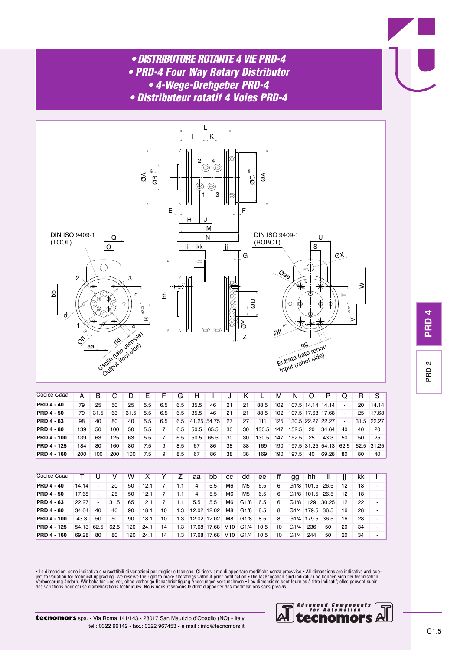- *• DISTRIBUTORE ROTANTE 4 VIE PRD-4*
- *• PRD-4 Four Way Rotary Distributor*
	- *• 4-Wege-Drehgeber PRD-4*
- *• Distributeur rotatif 4 Voies PRD-4*



| Codice Code        | А   | B    |     | D    | F   | F   | G   | н    |             |    |    |       | м   | N     | Ő                 | P                 |                | R  | S          |
|--------------------|-----|------|-----|------|-----|-----|-----|------|-------------|----|----|-------|-----|-------|-------------------|-------------------|----------------|----|------------|
| <b>PRD 4 - 40</b>  | 79  | 25   | 50  | 25   | 5.5 | 6.5 | 6.5 | 35.5 | 46          | 21 | 21 | 88.5  | 102 |       | 107.5 14.14 14.14 |                   | $\blacksquare$ | 20 | 14.14      |
| <b>PRD 4 - 50</b>  | 79  | 31.5 | 63  | 31.5 | 5.5 | 6.5 | 6.5 | 35.5 | 46          | 21 | 21 | 88.5  | 102 |       | 107.5 17.68 17.68 |                   | $\sim$         | 25 | 17.68      |
| <b>PRD 4 - 63</b>  | 98  | 40   | 80  | 40   | 5.5 | 6.5 | 6.5 |      | 41.25 54.75 | 27 | 27 | 111   | 125 |       | 130.5 22.27 22.27 |                   | $\blacksquare$ |    | 31.5 22.27 |
| <b>PRD 4 - 80</b>  | 139 | 50   | 100 | 50   | 5.5 |     | 6.5 | 50.5 | 65.5        | 30 | 30 | 130.5 | 147 | 152.5 | 20                | 34.64             | 40             | 40 | 20         |
| <b>PRD 4 - 100</b> | 139 | 63   | 125 | 63   | 5.5 |     | 6.5 | 50.5 | 65.5        | 30 | 30 | 130.5 | 147 | 152.5 | 25                | 43.3              | 50             | 50 | 25         |
| <b>PRD 4 - 125</b> | 184 | 80   | 160 | 80   | 7.5 | 9   | 8.5 | 67   | 86          | 38 | 38 | 169   | 190 |       |                   | 197.5 31.25 54.13 | 62.5           |    | 62.5 31.25 |
| <b>PRD 4 - 160</b> | 200 | 100  | 200 | 100  | 7.5 | 9   | 8.5 | 67   | 86          | 38 | 38 | 169   | 190 | 197.5 | 40                | 69.28             | -80            | 80 | 40         |
|                    |     |      |     |      |     |     |     |      |             |    |    |       |     |       |                   |                   |                |    |            |

| Codice Code        |            |                          |      | w   |      |    |     | aa  | bb          | <b>CC</b> | dd             | ee   | ff | qq   | hh                           | н     | Ш  | kk |  |
|--------------------|------------|--------------------------|------|-----|------|----|-----|-----|-------------|-----------|----------------|------|----|------|------------------------------|-------|----|----|--|
| <b>PRD 4 - 40</b>  | 14 14      | $\overline{\phantom{a}}$ | 20   | 50  | 12.1 |    | 1.1 | 4   | 5.5         | M6        | M <sub>5</sub> | 6.5  | 6  |      | G <sub>1</sub> /8 101.5 26.5 |       | 12 | 18 |  |
| <b>PRD 4 - 50</b>  | 17.68      | $\blacksquare$           | 25   | 50  | 12.1 |    | 1.1 | 4   | 5.5         | M6        | M5             | 6.5  | 6  |      | G <sub>1</sub> /8 101.5 26.5 |       | 12 | 18 |  |
| <b>PRD 4 - 63</b>  | 22.27      | $\blacksquare$           | 31.5 | 65  | 12.1 |    | 1.1 | 5.5 | 5.5         | M6        | G1/8           | 6.5  | 6  | G1/8 | 129                          | 30.25 | 12 | 22 |  |
| <b>PRD 4 - 80</b>  | 34.64      | 40                       | 40   | 90  | 18.1 | 10 | 1.3 |     | 12.02 12.02 | M8        | G1/8           | 8.5  | 8  |      | G1/4 179.5 36.5              |       | 16 | 28 |  |
| <b>PRD 4 - 100</b> | 43.3       | 50                       | 50   | 90  | 18.1 | 10 | 1.3 |     | 12.02 12.02 | M8        | G1/8           | 8.5  | 8  |      | G <sub>1</sub> /4 179.5 36.5 |       | 16 | 28 |  |
| <b>PRD 4 - 125</b> | 54.13 62.5 |                          | 62.5 | 120 | 24.1 | 14 | 1.3 |     | 17.68 17.68 | M10       | G1/4           | 10.5 | 10 | G1/4 | 236                          | 50    | 20 | 34 |  |
| <b>PRD 4 - 160</b> | 69.28      | 80                       | 80   | 120 | 24.1 | 14 | 1.3 |     | 17.68 17.68 | M10       | G1/4           | 10.5 | 10 | G1/4 | 244                          | 50    | 20 | 34 |  |

• Le dimensioni sono indicative e suscettibili di variazioni per migliorie tecniche. Ci riserviamo di apportare modifiche senza preavviso • All dimensions are indicative and subject to variation for technical upgrading. We



P R  $\overset{\sim}{\circ}$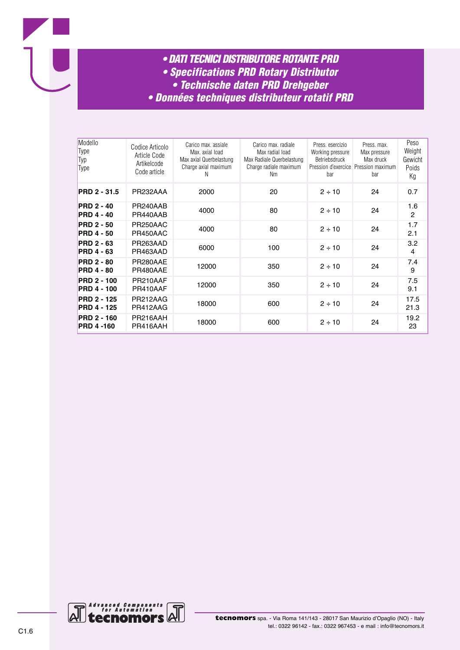

- *• Specifications PRD Rotary Distributor*
- *• Technische daten PRD Drehgeber*
- *• Données techniques distributeur rotatif PRD*

| Modello<br>Type<br>Typ<br>Type           | Codice Articolo<br>Article Code<br>Artikelcode<br>Code article | Carico max, assiale<br>Max. axial load<br>Max axial Querbelastung<br>Charge axial maximum<br>N | Carico max. radiale<br>Max radial load<br>Max Radiale Querbelastung<br>Charge radiale maximum<br>Nm | Press, esercizio<br>Working pressure<br>Betriebsdruck<br>bar | Press. max.<br>Max pressure<br>Max druck<br>Pression d'exercice Pression maximum<br>bar | Peso<br>Weight<br>Gewicht<br>Poids<br>Кg |
|------------------------------------------|----------------------------------------------------------------|------------------------------------------------------------------------------------------------|-----------------------------------------------------------------------------------------------------|--------------------------------------------------------------|-----------------------------------------------------------------------------------------|------------------------------------------|
| PRD 2 - 31.5                             | PR232AAA                                                       | 2000                                                                                           | 20                                                                                                  | $2 \div 10$                                                  | 24                                                                                      | 0.7                                      |
| <b>PRD 2 - 40</b><br><b>PRD 4 - 40</b>   | PR240AAB<br>PR440AAB                                           | 4000                                                                                           | 80                                                                                                  | $2 \div 10$                                                  | 24                                                                                      | 1.6<br>$\mathbf{2}$                      |
| <b>PRD 2 - 50</b><br><b>PRD 4 - 50</b>   | PR250AAC<br>PR450AAC                                           | 4000                                                                                           | 80                                                                                                  | $2 \div 10$                                                  | 24                                                                                      | 1.7<br>2.1                               |
| <b>PRD 2 - 63</b><br><b>PRD 4 - 63</b>   | PR263AAD<br>PR463AAD                                           | 6000                                                                                           | 100                                                                                                 | $2 \div 10$                                                  | 24                                                                                      | 3.2<br>4                                 |
| <b>PRD 2 - 80</b><br><b>PRD 4 - 80</b>   | PR280AAE<br>PR480AAE                                           | 12000                                                                                          | 350                                                                                                 | $2 \div 10$                                                  | 24                                                                                      | 7.4<br>9                                 |
| <b>PRD 2 - 100</b><br><b>PRD 4 - 100</b> | PR210AAF<br>PR410AAF                                           | 12000                                                                                          | 350                                                                                                 | $2 \div 10$                                                  | 24                                                                                      | 7.5<br>9.1                               |
| <b>PRD 2 - 125</b><br><b>PRD 4 - 125</b> | PR212AAG<br>PR412AAG                                           | 18000                                                                                          | 600                                                                                                 | $2 \div 10$                                                  | 24                                                                                      | 17.5<br>21.3                             |
| <b>PRD 2 - 160</b><br><b>PRD 4-160</b>   | PR216AAH<br>PR416AAH                                           | 18000                                                                                          | 600                                                                                                 | $2 \div 10$                                                  | 24                                                                                      | 19.2<br>23                               |

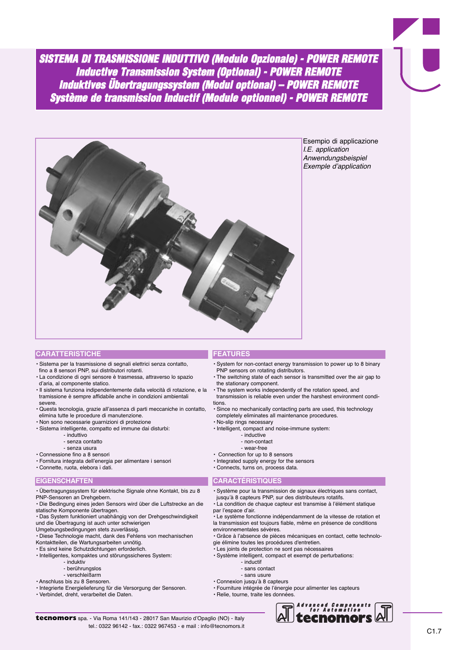*SISTEMA DI TRASMISSIONE INDUTTIVO (Modulo Opzionale) - POWER REMOTE Inductive Transmission System (Optional) - POWER REMOTE Induktives Übertragungssystem (Modul optional) – POWER REMOTE Système de transmission Inductif (Module optionnel) - POWER REMOTE*



Esempio di applicazione I.E. application Anwendungsbeispiel Exemple d'application

## **CARATTERISTICHE**

- Sistema per la trasmissione di segnali elettrici senza contatto, fino a 8 sensori PNP, sui distributori rotanti.
- La condizione di ogni sensore è trasmessa, attraverso lo spazio d'aria, al componente statico.
- Il sistema funziona indipendentemente dalla velocità di rotazione, e la tramissione è sempre affidabile anche in condizioni ambientali severe.
- Questa tecnologia, grazie all'assenza di parti meccaniche in contatto, elimina tutte le procedure di manutenzione.
- Non sono necessarie guarnizioni di protezione
- Sistema intelligente, compatto ed immune dai disturbi:
	- induttivo
	- senza contatto
	- senza usura
- Connessione fino a 8 sensori
- Fornitura integrata dell'energia per alimentare i sensori
- Connette, ruota, elebora i dati.

## **EIGENSCHAFTEN**

- Übertragungssystem für elektrische Signale ohne Kontakt, bis zu 8 PNP-Sensoren an Drehgebern.
- Die Bedingung eines jeden Sensors wird über die Luftstrecke an die statische Komponente übertragen.
- Das System funktioniert unabhängig von der Drehgeschwindigkeit und die Übertragung ist auch unter schwierigen
- Umgebungsbedingungen stets zuverlässig.
- Diese Technologie macht, dank des Fehlens von mechanischen
- Kontaktteilen, die Wartungsarbeiten unnötig.
- Es sind keine Schutzdichtungen erforderlich.
- Intelligentes, kompaktes und störungssicheres System:
	- induktiv
	- berührungslos
	- verschleißarm
- Anschluss bis zu 8 Sensoren.
- Integrierte Energielieferung für die Versorgung der Sensoren. • Verbindet, dreht, verarbeitet die Daten.
- **FEATURES**
- System for non-contact energy transmission to power up to 8 binary PNP sensors on rotating distributors.
- The switching state of each sensor is transmitted over the air gap to the stationary component.
- The system works independently of the rotation speed, and
- transmission is reliable even under the harshest environment conditions.
- Since no mechanically contacting parts are used, this technology completely eliminates all maintenance procedures.
- No-slip rings necessary
- Intelligent, compact and noise-immune system:
	- inductive
	- non-contact
	- wear-free
- Connection for up to 8 sensors
- Integrated supply energy for the sensors
- Connects, turns on, process data.

## **CARACTÉRISTIQUES**

- Système pour la transmission de signaux électriques sans contact, jusqu'à 8 capteurs PNP, sur des distributeurs rotatifs.
- La condition de chaque capteur est transmise à l'élément statique par l'espace d'air.

• Le système fonctionne indépendamment de la vitesse de rotation et la transmission est toujours fiable, même en présence de conditions environnementales sévères.

- Grâce à l'absence de pièces mécaniques en contact, cette technolo-
- gie élimine toutes les procédures d'entretien.
- Les joints de protection ne sont pas nécessaires • Système intelligent, compact et exempt de perturbations:
	- - inductif - sans contact
		- sans usure
- Connexion jusqu'à 8 capteurs
- 
- Fourniture intégrée de l'énergie pour alimenter les capteurs • Relie, tourne, traite les données.



**tecnomors** spa. - Via Roma 141/143 - 28017 San Maurizio d'Opaglio (NO) - Italy tel.: 0322 96142 - fax.: 0322 967453 - e mail : info@tecnomors.it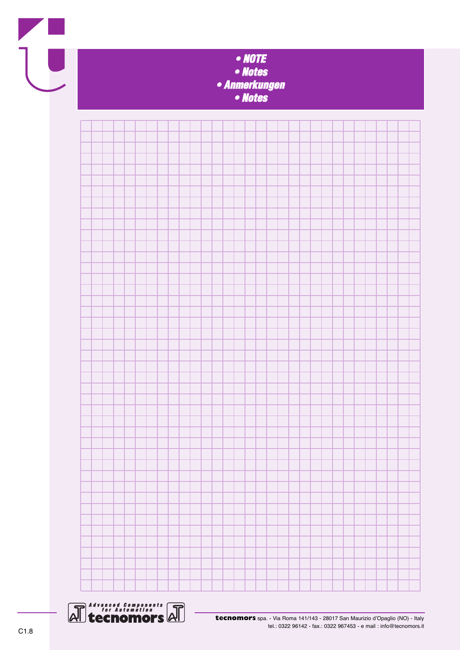